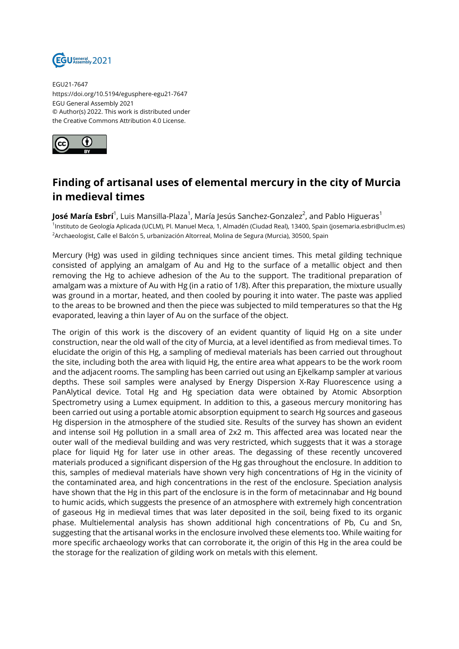

EGU21-7647 https://doi.org/10.5194/egusphere-egu21-7647 EGU General Assembly 2021 © Author(s) 2022. This work is distributed under the Creative Commons Attribution 4.0 License.



## **Finding of artisanal uses of elemental mercury in the city of Murcia in medieval times**

**José María Esbrí**<sup>1</sup>, Luis Mansilla-Plaza<sup>1</sup>, María Jesús Sanchez-Gonzalez<sup>2</sup>, and Pablo Higueras<sup>1</sup> <sup>1</sup>lnstituto de Geología Aplicada (UCLM), Pl. Manuel Meca, 1, Almadén (Ciudad Real), 13400, Spain (josemaria.esbri@uclm.es) <sup>2</sup>Archaeologist, Calle el Balcón 5, urbanización Altorreal, Molina de Segura (Murcia), 30500, Spain

Mercury (Hg) was used in gilding techniques since ancient times. This metal gilding technique consisted of applying an amalgam of Au and Hg to the surface of a metallic object and then removing the Hg to achieve adhesion of the Au to the support. The traditional preparation of amalgam was a mixture of Au with Hg (in a ratio of 1/8). After this preparation, the mixture usually was ground in a mortar, heated, and then cooled by pouring it into water. The paste was applied to the areas to be browned and then the piece was subjected to mild temperatures so that the Hg evaporated, leaving a thin layer of Au on the surface of the object.

The origin of this work is the discovery of an evident quantity of liquid Hg on a site under construction, near the old wall of the city of Murcia, at a level identified as from medieval times. To elucidate the origin of this Hg, a sampling of medieval materials has been carried out throughout the site, including both the area with liquid Hg, the entire area what appears to be the work room and the adjacent rooms. The sampling has been carried out using an Ejkelkamp sampler at various depths. These soil samples were analysed by Energy Dispersion X-Ray Fluorescence using a PanAlytical device. Total Hg and Hg speciation data were obtained by Atomic Absorption Spectrometry using a Lumex equipment. In addition to this, a gaseous mercury monitoring has been carried out using a portable atomic absorption equipment to search Hg sources and gaseous Hg dispersion in the atmosphere of the studied site. Results of the survey has shown an evident and intense soil Hg pollution in a small area of 2x2 m. This affected area was located near the outer wall of the medieval building and was very restricted, which suggests that it was a storage place for liquid Hg for later use in other areas. The degassing of these recently uncovered materials produced a significant dispersion of the Hg gas throughout the enclosure. In addition to this, samples of medieval materials have shown very high concentrations of Hg in the vicinity of the contaminated area, and high concentrations in the rest of the enclosure. Speciation analysis have shown that the Hg in this part of the enclosure is in the form of metacinnabar and Hg bound to humic acids, which suggests the presence of an atmosphere with extremely high concentration of gaseous Hg in medieval times that was later deposited in the soil, being fixed to its organic phase. Multielemental analysis has shown additional high concentrations of Pb, Cu and Sn, suggesting that the artisanal works in the enclosure involved these elements too. While waiting for more specific archaeology works that can corroborate it, the origin of this Hg in the area could be the storage for the realization of gilding work on metals with this element.